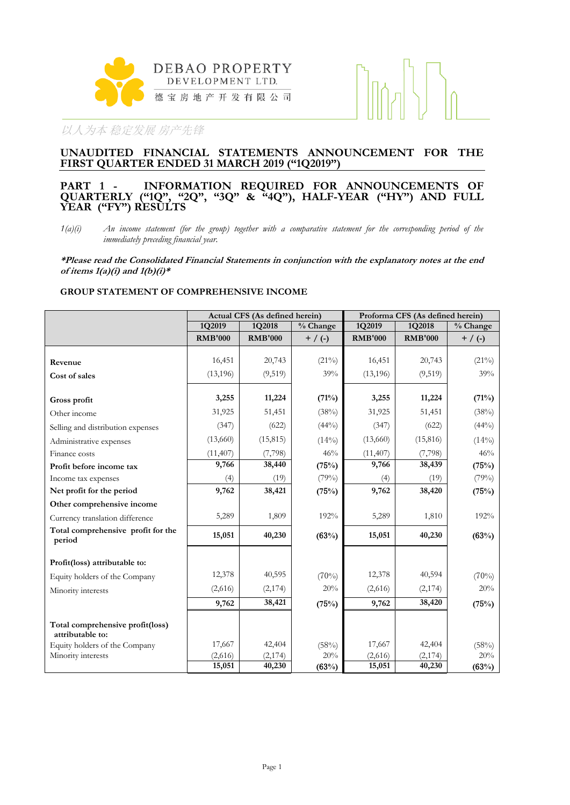

#### **UNAUDITED FINANCIAL STATEMENTS ANNOUNCEMENT FOR THE FIRST QUARTER ENDED 31 MARCH 2019 ("1Q2019")**

#### **PART 1 - INFORMATION REQUIRED FOR ANNOUNCEMENTS OF QUARTERLY ("1Q", "2Q", "3Q" & "4Q"), HALF-YEAR ("HY") AND FULL YEAR ("FY") RESULTS**

*1(a)(i) An income statement (for the group) together with a comparative statement for the corresponding period of the immediately preceding financial year.*

**\*Please read the Consolidated Financial Statements in conjunction with the explanatory notes at the end of items 1(a)(i) and 1(b)(i)\***

#### **GROUP STATEMENT OF COMPREHENSIVE INCOME**

|                                                      |                | Actual CFS (As defined herein) |           | Proforma CFS (As defined herein) |                |             |  |
|------------------------------------------------------|----------------|--------------------------------|-----------|----------------------------------|----------------|-------------|--|
|                                                      | 1Q2019         | 1Q2018                         | % Change  | 1Q2019                           | 1Q2018         | % Change    |  |
|                                                      | <b>RMB'000</b> | <b>RMB'000</b>                 | $+$ / (-) | <b>RMB'000</b>                   | <b>RMB'000</b> | $+ / ( - )$ |  |
|                                                      |                |                                |           |                                  |                |             |  |
| Revenue                                              | 16,451         | 20,743                         | $(21\%)$  | 16,451                           | 20,743         | $(21\%)$    |  |
| Cost of sales                                        | (13, 196)      | (9, 519)                       | 39%       | (13, 196)                        | (9,519)        | 39%         |  |
|                                                      |                |                                |           |                                  |                |             |  |
| Gross profit                                         | 3,255          | 11,224                         | (71%)     | 3,255                            | 11,224         | (71%)       |  |
| Other income                                         | 31,925         | 51,451                         | (38%)     | 31,925                           | 51,451         | (38%)       |  |
| Selling and distribution expenses                    | (347)          | (622)                          | $(44\%)$  | (347)                            | (622)          | $(44\%)$    |  |
| Administrative expenses                              | (13,660)       | (15, 815)                      | (14%)     | (13,660)                         | (15, 816)      | $(14\%)$    |  |
| Finance costs                                        | (11, 407)      | (7,798)                        | 46%       | (11, 407)                        | (7,798)        | 46%         |  |
| Profit before income tax                             | 9,766          | 38,440                         | (75%)     | 9,766                            | 38,439         | (75%)       |  |
| Income tax expenses                                  | (4)            | (19)                           | (79%)     | (4)                              | (19)           | (79%)       |  |
| Net profit for the period                            | 9,762          | 38,421                         | (75%)     | 9,762                            | 38,420         | (75%)       |  |
| Other comprehensive income                           |                |                                |           |                                  |                |             |  |
| Currency translation difference                      | 5,289          | 1,809                          | 192%      | 5,289                            | 1,810          | 192%        |  |
| Total comprehensive profit for the<br>period         | 15,051         | 40,230                         | (63%)     | 15,051                           | 40,230         | (63%)       |  |
| Profit(loss) attributable to:                        |                |                                |           |                                  |                |             |  |
|                                                      | 12,378         | 40,595                         | (70%)     | 12,378                           | 40,594         | (70%)       |  |
| Equity holders of the Company                        |                |                                | 20%       |                                  |                | 20%         |  |
| Minority interests                                   | (2,616)        | (2,174)                        |           | (2,616)                          | (2,174)        |             |  |
|                                                      | 9,762          | 38,421                         | (75%)     | 9,762                            | 38,420         | (75%)       |  |
| Total comprehensive profit(loss)<br>attributable to: |                |                                |           |                                  |                |             |  |
| Equity holders of the Company                        | 17,667         | 42,404                         | (58%)     | 17,667                           | 42,404         | (58%)       |  |
| Minority interests                                   | (2,616)        | (2,174)                        | 20%       | (2,616)                          | (2,174)        | 20%         |  |
|                                                      | 15,051         | 40,230                         | (63%)     | 15,051                           | 40,230         | (63%)       |  |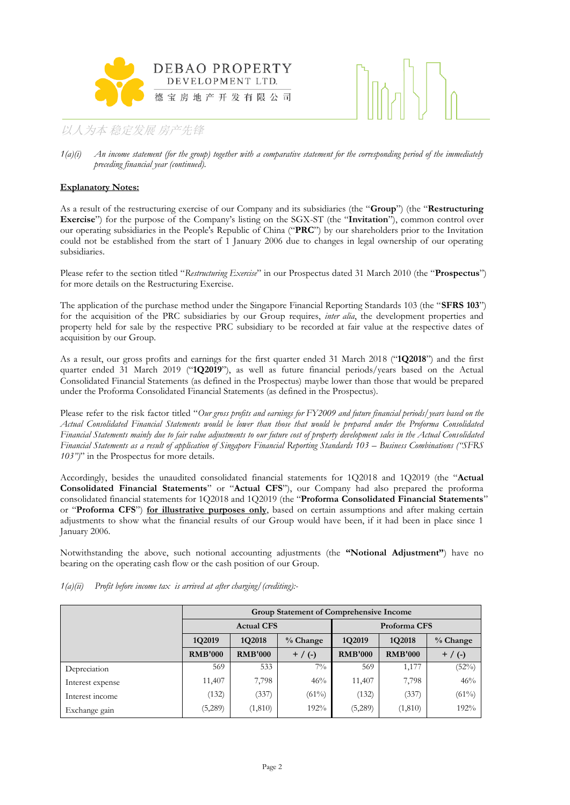



#### **Explanatory Notes:**

As a result of the restructuring exercise of our Company and its subsidiaries (the "**Group**") (the "**Restructuring Exercise**") for the purpose of the Company's listing on the SGX-ST (the "**Invitation**"), common control over our operating subsidiaries in the People's Republic of China ("**PRC**") by our shareholders prior to the Invitation could not be established from the start of 1 January 2006 due to changes in legal ownership of our operating subsidiaries.

Please refer to the section titled "*Restructuring Exercise*" in our Prospectus dated 31 March 2010 (the "**Prospectus**") for more details on the Restructuring Exercise.

The application of the purchase method under the Singapore Financial Reporting Standards 103 (the "**SFRS 103**") for the acquisition of the PRC subsidiaries by our Group requires, *inter alia*, the development properties and property held for sale by the respective PRC subsidiary to be recorded at fair value at the respective dates of acquisition by our Group.

As a result, our gross profits and earnings for the first quarter ended 31 March 2018 ("**1Q2018**") and the first quarter ended 31 March 2019 ("**1Q2019**"), as well as future financial periods/years based on the Actual Consolidated Financial Statements (as defined in the Prospectus) maybe lower than those that would be prepared under the Proforma Consolidated Financial Statements (as defined in the Prospectus).

Please refer to the risk factor titled "*Our gross profits and earnings for FY2009 and future financial periods/years based on the Actual Consolidated Financial Statements would be lower than those that would be prepared under the Proforma Consolidated Financial Statements mainly due to fair value adjustments to our future cost of property development sales in the Actual Consolidated Financial Statements as a result of application of Singapore Financial Reporting Standards 103 – Business Combinations ("SFRS 103")*" in the Prospectus for more details.

Accordingly, besides the unaudited consolidated financial statements for 1Q2018 and 1Q2019 (the "**Actual Consolidated Financial Statements**" or "**Actual CFS**"), our Company had also prepared the proforma consolidated financial statements for 1Q2018 and 1Q2019 (the "**Proforma Consolidated Financial Statements**" or "**Proforma CFS**") **for illustrative purposes only**, based on certain assumptions and after making certain adjustments to show what the financial results of our Group would have been, if it had been in place since 1 January 2006.

Notwithstanding the above, such notional accounting adjustments (the **"Notional Adjustment"**) have no bearing on the operating cash flow or the cash position of our Group.

|                  | Group Statement of Comprehensive Income       |                   |          |                |                |            |  |  |
|------------------|-----------------------------------------------|-------------------|----------|----------------|----------------|------------|--|--|
|                  |                                               | <b>Actual CFS</b> |          | Proforma CFS   |                |            |  |  |
|                  | 1Q2019                                        | 1Q2018            | % Change | 1Q2019         | 1Q2018         | $%$ Change |  |  |
|                  | <b>RMB'000</b><br><b>RMB'000</b><br>$+$ / (-) |                   |          | <b>RMB'000</b> | <b>RMB'000</b> | $+$ / (-)  |  |  |
| Depreciation     | 569                                           | 533               | $7\%$    | 569            | 1,177          | (52%)      |  |  |
| Interest expense | 11,407                                        | 7,798             | 46%      | 11,407         | 7,798          | 46%        |  |  |
| Interest income  | (132)                                         | (337)             | $(61\%)$ | (132)          | (337)          | (61%)      |  |  |
| Exchange gain    | (5,289)                                       | (1, 810)          | 192%     | (5,289)        | (1, 810)       | 192%       |  |  |

*1(a)(ii) Profit before income tax is arrived at after charging/(crediting):-*

*<sup>1(</sup>a)(i) An income statement (for the group) together with a comparative statement for the corresponding period of the immediately preceding financial year (continued).*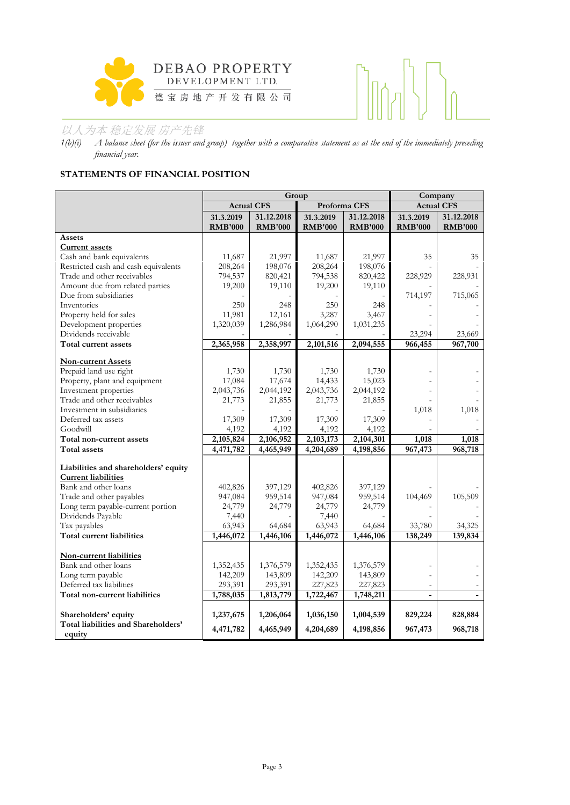



*1(b)(i) A balance sheet (for the issuer and group) together with a comparative statement as at the end of the immediately preceding financial year.*

# **STATEMENTS OF FINANCIAL POSITION**

|                                      |                   | Group          | Company        |                |                          |                |
|--------------------------------------|-------------------|----------------|----------------|----------------|--------------------------|----------------|
|                                      | <b>Actual CFS</b> |                | Proforma CFS   |                | <b>Actual CFS</b>        |                |
|                                      | 31.3.2019         | 31.12.2018     | 31.3.2019      | 31.12.2018     | 31.3.2019                | 31.12.2018     |
|                                      | <b>RMB'000</b>    | <b>RMB'000</b> | <b>RMB'000</b> | <b>RMB'000</b> | <b>RMB'000</b>           | <b>RMB'000</b> |
| Assets                               |                   |                |                |                |                          |                |
| <b>Current assets</b>                |                   |                |                |                |                          |                |
| Cash and bank equivalents            | 11,687            | 21,997         | 11,687         | 21,997         | 35                       | 35             |
| Restricted cash and cash equivalents | 208,264           | 198,076        | 208,264        | 198,076        |                          |                |
| Trade and other receivables          | 794,537           | 820,421        | 794,538        | 820,422        | 228,929                  | 228,931        |
| Amount due from related parties      | 19,200            | 19,110         | 19,200         | 19,110         |                          |                |
| Due from subsidiaries                |                   |                |                |                | 714,197                  | 715,065        |
| Inventories                          | 250               | 248            | 250            | 248            |                          |                |
| Property held for sales              | 11,981            | 12,161         | 3,287          | 3,467          |                          |                |
| Development properties               | 1,320,039         | 1,286,984      | 1,064,290      | 1,031,235      |                          |                |
| Dividends receivable                 |                   |                |                |                | 23,294                   | 23,669         |
| Total current assets                 | 2,365,958         | 2,358,997      | 2,101,516      | 2,094,555      | 966,455                  | 967,700        |
| <b>Non-current Assets</b>            |                   |                |                |                |                          |                |
| Prepaid land use right               | 1,730             | 1,730          | 1,730          | 1,730          |                          |                |
| Property, plant and equipment        | 17,084            | 17,674         | 14,433         | 15,023         |                          |                |
| Investment properties                | 2,043,736         | 2,044,192      | 2,043,736      | 2,044,192      |                          |                |
| Trade and other receivables          | 21,773            | 21,855         | 21,773         | 21,855         |                          |                |
| Investment in subsidiaries           |                   |                |                |                | 1,018                    | 1,018          |
| Deferred tax assets                  | 17,309            | 17,309         | 17,309         | 17,309         |                          |                |
| Goodwill                             | 4,192             | 4,192          | 4,192          | 4,192          |                          |                |
| Total non-current assets             | 2,105,824         | 2,106,952      | 2,103,173      | 2,104,301      | 1,018                    | 1,018          |
| <b>Total assets</b>                  | 4,471,782         | 4,465,949      | 4,204,689      | 4,198,856      | 967,473                  | 968,718        |
|                                      |                   |                |                |                |                          |                |
| Liabilities and shareholders' equity |                   |                |                |                |                          |                |
| <b>Current liabilities</b>           |                   |                |                |                |                          |                |
| Bank and other loans                 | 402,826           | 397,129        | 402,826        | 397,129        |                          |                |
| Trade and other payables             | 947,084           | 959,514        | 947,084        | 959,514        | 104,469                  | 105,509        |
| Long term payable-current portion    | 24,779            | 24,779         | 24,779         | 24,779         |                          |                |
| Dividends Payable                    | 7,440             |                | 7,440          |                |                          |                |
| Tax payables                         | 63,943            | 64,684         | 63,943         | 64,684         | 33,780                   | 34,325         |
| <b>Total current liabilities</b>     | 1,446,072         | 1,446,106      | 1,446,072      | 1,446,106      | 138,249                  | 139,834        |
|                                      |                   |                |                |                |                          |                |
| Non-current liabilities              |                   |                |                |                |                          |                |
| Bank and other loans                 | 1,352,435         | 1,376,579      | 1,352,435      | 1,376,579      |                          |                |
| Long term payable                    | 142,209           | 143,809        | 142,209        | 143,809        |                          |                |
| Deferred tax liabilities             | 293,391           | 293,391        | 227,823        | 227,823        | $\overline{\phantom{a}}$ |                |
| Total non-current liabilities        | 1,788,035         | 1,813,779      | 1,722,467      | 1,748,211      | $\overline{a}$           |                |
|                                      |                   |                |                |                |                          |                |
| Shareholders' equity                 | 1,237,675         | 1,206,064      | 1,036,150      | 1,004,539      | 829,224                  | 828,884        |
| Total liabilities and Shareholders'  | 4,471,782         | 4,465,949      | 4,204,689      | 4,198,856      | 967,473                  | 968,718        |
| equity                               |                   |                |                |                |                          |                |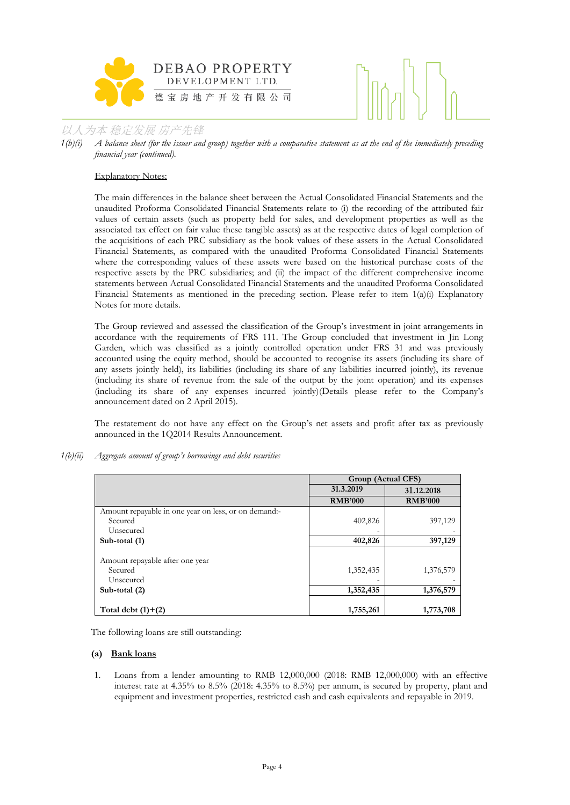

*1(b)(i) A balance sheet (for the issuer and group) together with a comparative statement as at the end of the immediately preceding financial year (continued).*

#### Explanatory Notes:

The main differences in the balance sheet between the Actual Consolidated Financial Statements and the unaudited Proforma Consolidated Financial Statements relate to (i) the recording of the attributed fair values of certain assets (such as property held for sales, and development properties as well as the associated tax effect on fair value these tangible assets) as at the respective dates of legal completion of the acquisitions of each PRC subsidiary as the book values of these assets in the Actual Consolidated Financial Statements, as compared with the unaudited Proforma Consolidated Financial Statements where the corresponding values of these assets were based on the historical purchase costs of the respective assets by the PRC subsidiaries; and (ii) the impact of the different comprehensive income statements between Actual Consolidated Financial Statements and the unaudited Proforma Consolidated Financial Statements as mentioned in the preceding section. Please refer to item  $1(a)(i)$  Explanatory Notes for more details.

The Group reviewed and assessed the classification of the Group's investment in joint arrangements in accordance with the requirements of FRS 111. The Group concluded that investment in Jin Long Garden, which was classified as a jointly controlled operation under FRS 31 and was previously accounted using the equity method, should be accounted to recognise its assets (including its share of any assets jointly held), its liabilities (including its share of any liabilities incurred jointly), its revenue (including its share of revenue from the sale of the output by the joint operation) and its expenses (including its share of any expenses incurred jointly)(Details please refer to the Company's announcement dated on 2 April 2015).

The restatement do not have any effect on the Group's net assets and profit after tax as previously announced in the 1Q2014 Results Announcement.

*1(b)(ii) Aggregate amount of group's borrowings and debt securities* 

|                                                      | Group (Actual CFS) |                |  |  |  |
|------------------------------------------------------|--------------------|----------------|--|--|--|
|                                                      | 31.3.2019          | 31.12.2018     |  |  |  |
|                                                      | <b>RMB'000</b>     | <b>RMB'000</b> |  |  |  |
| Amount repayable in one year on less, or on demand:- |                    |                |  |  |  |
| Secured                                              | 402,826            | 397,129        |  |  |  |
| Unsecured                                            |                    |                |  |  |  |
| Sub-total (1)                                        | 402,826            | 397,129        |  |  |  |
|                                                      |                    |                |  |  |  |
| Amount repayable after one year                      |                    |                |  |  |  |
| Secured                                              | 1,352,435          | 1,376,579      |  |  |  |
| Unsecured                                            |                    |                |  |  |  |
| Sub-total (2)                                        | 1,352,435          | 1,376,579      |  |  |  |
|                                                      |                    |                |  |  |  |
| Total debt $(1)+(2)$                                 | 1,755,261          | 1,773,708      |  |  |  |

The following loans are still outstanding:

#### **(a) Bank loans**

1. Loans from a lender amounting to RMB 12,000,000 (2018: RMB 12,000,000) with an effective interest rate at 4.35% to 8.5% (2018: 4.35% to 8.5%) per annum, is secured by property, plant and equipment and investment properties, restricted cash and cash equivalents and repayable in 2019.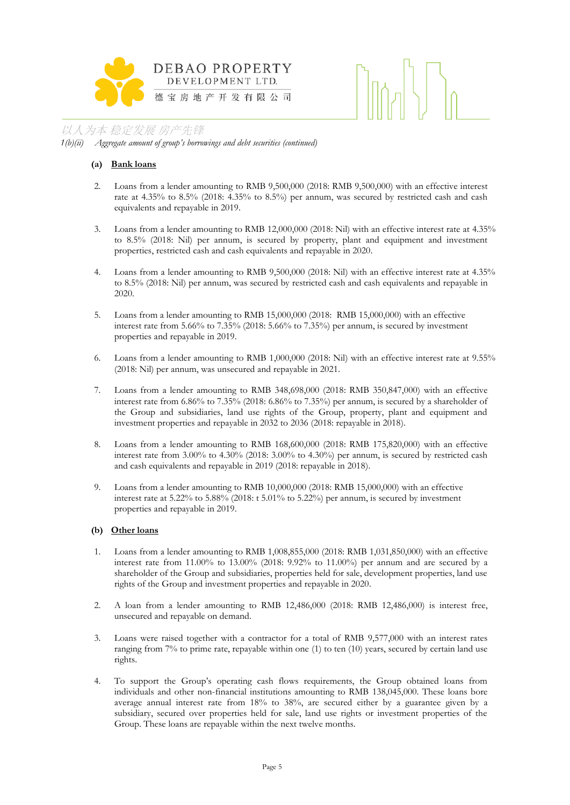



*1(b)(ii) Aggregate amount of group's borrowings and debt securities (continued)*

#### **(a) Bank loans**

- 2. Loans from a lender amounting to RMB 9,500,000 (2018: RMB 9,500,000) with an effective interest rate at 4.35% to 8.5% (2018: 4.35% to 8.5%) per annum, was secured by restricted cash and cash equivalents and repayable in 2019.
- 3. Loans from a lender amounting to RMB 12,000,000 (2018: Nil) with an effective interest rate at 4.35% to 8.5% (2018: Nil) per annum, is secured by property, plant and equipment and investment properties, restricted cash and cash equivalents and repayable in 2020.
- 4. Loans from a lender amounting to RMB 9,500,000 (2018: Nil) with an effective interest rate at 4.35% to 8.5% (2018: Nil) per annum, was secured by restricted cash and cash equivalents and repayable in 2020.
- 5. Loans from a lender amounting to RMB 15,000,000 (2018: RMB 15,000,000) with an effective interest rate from 5.66% to 7.35% (2018: 5.66% to 7.35%) per annum, is secured by investment properties and repayable in 2019.
- 6. Loans from a lender amounting to RMB 1,000,000 (2018: Nil) with an effective interest rate at 9.55% (2018: Nil) per annum, was unsecured and repayable in 2021.
- 7. Loans from a lender amounting to RMB 348,698,000 (2018: RMB 350,847,000) with an effective interest rate from 6.86% to 7.35% (2018: 6.86% to 7.35%) per annum, is secured by a shareholder of the Group and subsidiaries, land use rights of the Group, property, plant and equipment and investment properties and repayable in 2032 to 2036 (2018: repayable in 2018).
- 8. Loans from a lender amounting to RMB 168,600,000 (2018: RMB 175,820,000) with an effective interest rate from 3.00% to 4.30% (2018: 3.00% to 4.30%) per annum, is secured by restricted cash and cash equivalents and repayable in 2019 (2018: repayable in 2018).
- 9. Loans from a lender amounting to RMB 10,000,000 (2018: RMB 15,000,000) with an effective interest rate at 5.22% to 5.88% (2018: t 5.01% to 5.22%) per annum, is secured by investment properties and repayable in 2019.

#### **(b) Other loans**

- 1. Loans from a lender amounting to RMB 1,008,855,000 (2018: RMB 1,031,850,000) with an effective interest rate from 11.00% to 13.00% (2018: 9.92% to 11.00%) per annum and are secured by a shareholder of the Group and subsidiaries, properties held for sale, development properties, land use rights of the Group and investment properties and repayable in 2020.
- 2. A loan from a lender amounting to RMB 12,486,000 (2018: RMB 12,486,000) is interest free, unsecured and repayable on demand.
- 3. Loans were raised together with a contractor for a total of RMB 9,577,000 with an interest rates ranging from 7% to prime rate, repayable within one (1) to ten (10) years, secured by certain land use rights.
- 4. To support the Group's operating cash flows requirements, the Group obtained loans from individuals and other non-financial institutions amounting to RMB 138,045,000. These loans bore average annual interest rate from 18% to 38%, are secured either by a guarantee given by a subsidiary, secured over properties held for sale, land use rights or investment properties of the Group. These loans are repayable within the next twelve months.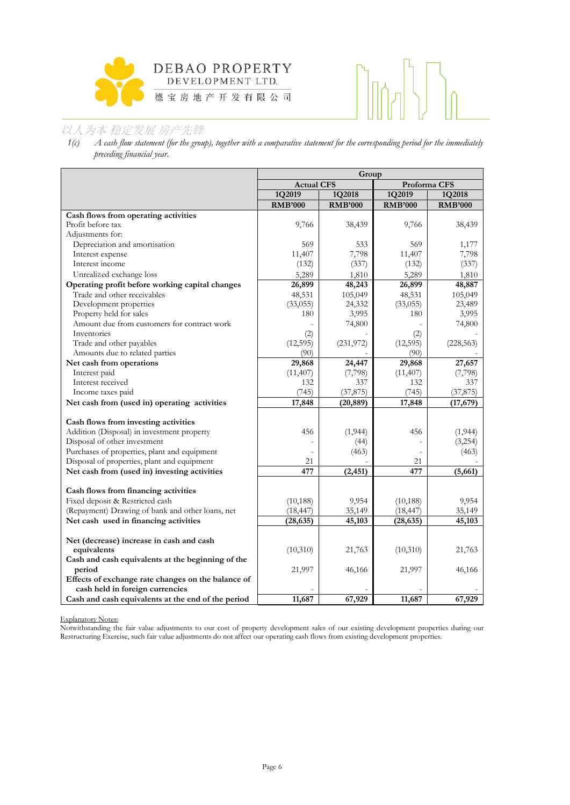

# $\prod_{i=1}^{n}$

# 以人为本 稳定发展 房产先锋

*1(c) A cash flow statement (for the group), together with a comparative statement for the corresponding period for the immediately preceding financial year.*

|                                                                                     | Group                  |                 |                        |                 |  |  |
|-------------------------------------------------------------------------------------|------------------------|-----------------|------------------------|-----------------|--|--|
|                                                                                     | <b>Actual CFS</b>      |                 |                        | Proforma CFS    |  |  |
|                                                                                     | 1Q2019                 | 1Q2018          | 1Q2019                 | 1Q2018          |  |  |
|                                                                                     | <b>RMB'000</b>         | <b>RMB'000</b>  | <b>RMB'000</b>         | <b>RMB'000</b>  |  |  |
| Cash flows from operating activities                                                |                        |                 |                        |                 |  |  |
| Profit before tax                                                                   | 9,766                  | 38,439          | 9,766                  | 38,439          |  |  |
| Adjustments for:                                                                    |                        |                 |                        |                 |  |  |
| Depreciation and amortisation                                                       | 569                    | 533             | 569                    | 1,177           |  |  |
| Interest expense                                                                    | 11,407                 | 7,798           | 11,407                 | 7,798           |  |  |
| Interest income                                                                     | (132)                  | (337)           | (132)                  | (337)           |  |  |
| Unrealized exchange loss                                                            | 5,289                  | 1,810           | 5,289                  | 1,810           |  |  |
| Operating profit before working capital changes                                     | 26,899                 | 48,243          | 26,899                 | 48,887          |  |  |
| Trade and other receivables                                                         | 48,531                 | 105,049         | 48,531                 | 105,049         |  |  |
| Development properties                                                              | (33,055)               | 24,332          | (33,055)               | 23,489          |  |  |
| Property held for sales                                                             | 180                    | 3,995           | 180                    | 3,995           |  |  |
| Amount due from customers for contract work                                         |                        | 74,800          |                        | 74,800          |  |  |
| Inventories                                                                         | (2)                    |                 | (2)                    |                 |  |  |
| Trade and other payables                                                            | (12, 595)              | (231, 972)      | (12, 595)              | (228, 563)      |  |  |
| Amounts due to related parties                                                      | (90)                   |                 | (90)                   |                 |  |  |
| Net cash from operations                                                            | 29,868                 | 24,447          | 29,868                 | 27,657          |  |  |
| Interest paid                                                                       | (11,407)               | (7,798)         | (11,407)               | (7,798)         |  |  |
| Interest received                                                                   | 132                    | 337             | 132                    | 337             |  |  |
| Income taxes paid                                                                   | (745)                  | (37, 875)       | (745)                  | (37, 875)       |  |  |
| Net cash from (used in) operating activities                                        | 17,848                 | (20, 889)       | 17,848                 | (17, 679)       |  |  |
|                                                                                     |                        |                 |                        |                 |  |  |
| Cash flows from investing activities                                                |                        |                 |                        |                 |  |  |
| Addition (Disposal) in investment property                                          | 456                    | (1, 944)        | 456                    | (1,944)         |  |  |
| Disposal of other investment                                                        |                        | (44)            |                        | (3,254)         |  |  |
| Purchases of properties, plant and equipment                                        |                        | (463)           |                        | (463)           |  |  |
| Disposal of properties, plant and equipment                                         | 21                     |                 | 21                     |                 |  |  |
| Net cash from (used in) investing activities                                        | 477                    | (2, 451)        | 477                    | (5,661)         |  |  |
|                                                                                     |                        |                 |                        |                 |  |  |
| Cash flows from financing activities                                                |                        |                 |                        |                 |  |  |
| Fixed deposit & Restricted cash<br>(Repayment) Drawing of bank and other loans, net | (10, 188)<br>(18, 447) | 9,954<br>35,149 | (10, 188)<br>(18, 447) | 9,954<br>35,149 |  |  |
|                                                                                     |                        |                 |                        |                 |  |  |
| Net cash used in financing activities                                               | (28, 635)              | 45,103          | (28, 635)              | 45,103          |  |  |
| Net (decrease) increase in cash and cash                                            |                        |                 |                        |                 |  |  |
| equivalents                                                                         | (10,310)               | 21,763          | (10,310)               | 21,763          |  |  |
| Cash and cash equivalents at the beginning of the                                   |                        |                 |                        |                 |  |  |
| period                                                                              | 21,997                 | 46,166          | 21,997                 | 46,166          |  |  |
| Effects of exchange rate changes on the balance of                                  |                        |                 |                        |                 |  |  |
| cash held in foreign currencies                                                     |                        |                 |                        |                 |  |  |
| Cash and cash equivalents at the end of the period                                  | 11,687                 | 67,929          | 11,687                 | 67,929          |  |  |

Explanatory Notes:

Notwithstanding the fair value adjustments to our cost of property development sales of our existing development properties during our Restructuring Exercise, such fair value adjustments do not affect our operating cash flows from existing development properties.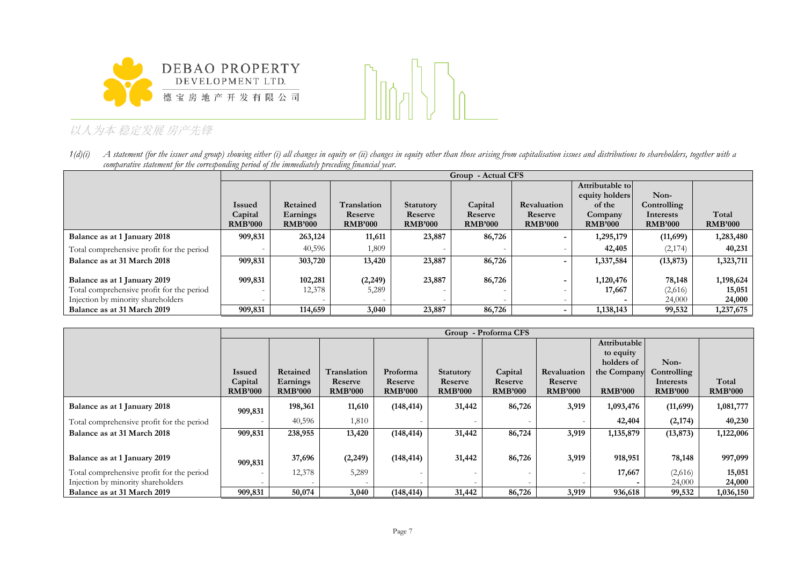



1(d)(i) A statement (for the issuer and group) showing either (i) all changes in equity or (ii) changes in equity other than those arising from capitalisation issues and distributions to shareholders, together with a *comparative statement for the corresponding period of the immediately preceding financial year.*

|                                           |                | Group - Actual CFS |                |                  |                |                    |                 |                |                |  |
|-------------------------------------------|----------------|--------------------|----------------|------------------|----------------|--------------------|-----------------|----------------|----------------|--|
|                                           |                |                    |                |                  |                |                    | Attributable to |                |                |  |
|                                           |                |                    |                |                  |                |                    | equity holders  | Non-           |                |  |
|                                           | <b>Issued</b>  | Retained           | Translation    | <b>Statutory</b> | Capital        | <b>Revaluation</b> | of the          | Controlling    |                |  |
|                                           | Capital        | Earnings           | Reserve        | Reserve          | Reserve        | Reserve            | Company         | Interests      | Total          |  |
|                                           | <b>RMB'000</b> | <b>RMB'000</b>     | <b>RMB'000</b> | <b>RMB'000</b>   | <b>RMB'000</b> | <b>RMB'000</b>     | <b>RMB'000</b>  | <b>RMB'000</b> | <b>RMB'000</b> |  |
| Balance as at 1 January 2018              | 909,831        | 263,124            | 11,611         | 23,887           | 86,726         |                    | 1,295,179       | (11,699)       | 1,283,480      |  |
| Total comprehensive profit for the period |                | 40,596             | 1,809          |                  |                |                    | 42,405          | (2,174)        | 40,231         |  |
| Balance as at 31 March 2018               | 909,831        | 303,720            | 13,420         | 23,887           | 86,726         |                    | 1,337,584       | (13, 873)      | 1,323,711      |  |
|                                           |                |                    |                |                  |                |                    |                 |                |                |  |
| Balance as at 1 January 2019              | 909,831        | 102,281            | (2,249)        | 23,887           | 86,726         |                    | 1,120,476       | 78,148         | 1,198,624      |  |
| Total comprehensive profit for the period |                | 12,378             | 5,289          |                  |                |                    | 17,667          | (2,616)        | 15,051         |  |
| Injection by minority shareholders        |                |                    |                |                  |                |                    |                 | 24,000         | 24,000         |  |
| Balance as at 31 March 2019               | 909,831        | 114,659            | 3,040          | 23,887           | 86,726         |                    | 1,138,143       | 99,532         | 1,237,675      |  |

|                                           |                | Group - Proforma CFS |                |                |                  |                          |                          |                |                |                |
|-------------------------------------------|----------------|----------------------|----------------|----------------|------------------|--------------------------|--------------------------|----------------|----------------|----------------|
|                                           |                |                      |                |                |                  |                          |                          | Attributable   |                |                |
|                                           |                |                      |                |                |                  |                          |                          | to equity      |                |                |
|                                           |                |                      |                |                |                  |                          |                          | holders of     | Non-           |                |
|                                           | <b>Issued</b>  | Retained             | Translation    | Proforma       | <b>Statutory</b> | Capital                  | <b>Revaluation</b>       | the Company    | Controlling    |                |
|                                           | Capital        | Earnings             | Reserve        | Reserve        | Reserve          | Reserve                  | Reserve                  |                | Interests      | Total          |
|                                           | <b>RMB'000</b> | <b>RMB'000</b>       | <b>RMB'000</b> | <b>RMB'000</b> | <b>RMB'000</b>   | <b>RMB'000</b>           | <b>RMB'000</b>           | <b>RMB'000</b> | <b>RMB'000</b> | <b>RMB'000</b> |
| Balance as at 1 January 2018              | 909,831        | 198,361              | 11,610         | (148, 414)     | 31,442           | 86,726                   | 3,919                    | 1,093,476      | (11,699)       | 1,081,777      |
| Total comprehensive profit for the period |                | 40,596               | 1,810          |                |                  |                          | $\overline{\phantom{a}}$ | 42,404         | (2, 174)       | 40,230         |
| Balance as at 31 March 2018               | 909,831        | 238,955              | 13,420         | (148, 414)     | 31,442           | 86,724                   | 3,919                    | 1,135,879      | (13, 873)      | 1,122,006      |
|                                           |                |                      |                |                |                  |                          |                          |                |                |                |
| Balance as at 1 January 2019              | 909,831        | 37,696               | (2, 249)       | (148, 414)     | 31,442           | 86,726                   | 3,919                    | 918,951        | 78,148         | 997,099        |
| Total comprehensive profit for the period |                | 12,378               | 5,289          |                |                  |                          |                          | 17,667         | (2,616)        | 15,051         |
| Injection by minority shareholders        |                |                      |                |                |                  | $\overline{\phantom{a}}$ |                          |                | 24,000         | 24,000         |
| Balance as at 31 March 2019               | 909,831        | 50,074               | 3,040          | (148, 414)     | 31,442           | 86,726                   | 3,919                    | 936,618        | 99,532         | 1,036,150      |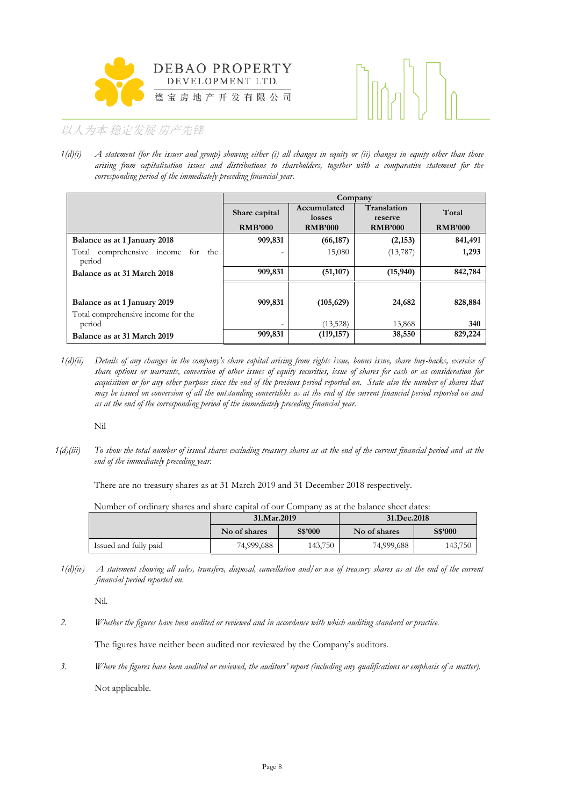



*1(d)(i) A statement (for the issuer and group) showing either (i) all changes in equity or (ii) changes in equity other than those arising from capitalisation issues and distributions to shareholders, together with a comparative statement for the corresponding period of the immediately preceding financial year.*

|                                                    |                | Company               |                        |                |  |  |  |  |  |
|----------------------------------------------------|----------------|-----------------------|------------------------|----------------|--|--|--|--|--|
|                                                    | Share capital  | Accumulated<br>losses | Translation<br>reserve | Total          |  |  |  |  |  |
|                                                    | <b>RMB'000</b> | <b>RMB'000</b>        | <b>RMB'000</b>         | <b>RMB'000</b> |  |  |  |  |  |
| Balance as at 1 January 2018                       | 909,831        | (66, 187)             | (2,153)                | 841,491        |  |  |  |  |  |
| comprehensive income for<br>Total<br>the<br>period |                | 15,080                | (13, 787)              | 1,293          |  |  |  |  |  |
| Balance as at 31 March 2018                        | 909,831        | (51, 107)             | (15,940)               | 842,784        |  |  |  |  |  |
|                                                    |                |                       |                        |                |  |  |  |  |  |
| Balance as at 1 January 2019                       | 909,831        | (105, 629)            | 24,682                 | 828,884        |  |  |  |  |  |
| Total comprehensive income for the                 |                |                       |                        |                |  |  |  |  |  |
| period                                             | $\overline{a}$ | (13,528)              | 13,868                 | 340            |  |  |  |  |  |
| Balance as at 31 March 2019                        | 909,831        | (119, 157)            | 38,550                 | 829,224        |  |  |  |  |  |

*1(d)(ii) Details of any changes in the company's share capital arising from rights issue, bonus issue, share buy-backs, exercise of share options or warrants, conversion of other issues of equity securities, issue of shares for cash or as consideration for acquisition or for any other purpose since the end of the previous period reported on. State also the number of shares that may be issued on conversion of all the outstanding convertibles as at the end of the current financial period reported on and as at the end of the corresponding period of the immediately preceding financial year.*

Nil

*1(d)(iii) To show the total number of issued shares excluding treasury shares as at the end of the current financial period and at the end of the immediately preceding year.* 

There are no treasury shares as at 31 March 2019 and 31 December 2018 respectively.

Number of ordinary shares and share capital of our Company as at the balance sheet dates:

|                       | 31.Mar.2019             |         | 31.Dec.2018  |         |  |  |
|-----------------------|-------------------------|---------|--------------|---------|--|--|
|                       | S\$'000<br>No of shares |         | No of shares | S\$'000 |  |  |
| Issued and fully paid | 74,999,688              | 143,750 | 74,999,688   | 143,750 |  |  |

*1(d)(iv) A statement showing all sales, transfers, disposal, cancellation and/or use of treasury shares as at the end of the current financial period reported on*.

Nil.

*2. Whether the figures have been audited or reviewed and in accordance with which auditing standard or practice.*

The figures have neither been audited nor reviewed by the Company's auditors.

*3. Where the figures have been audited or reviewed, the auditors' report (including any qualifications or emphasis of a matter).* Not applicable.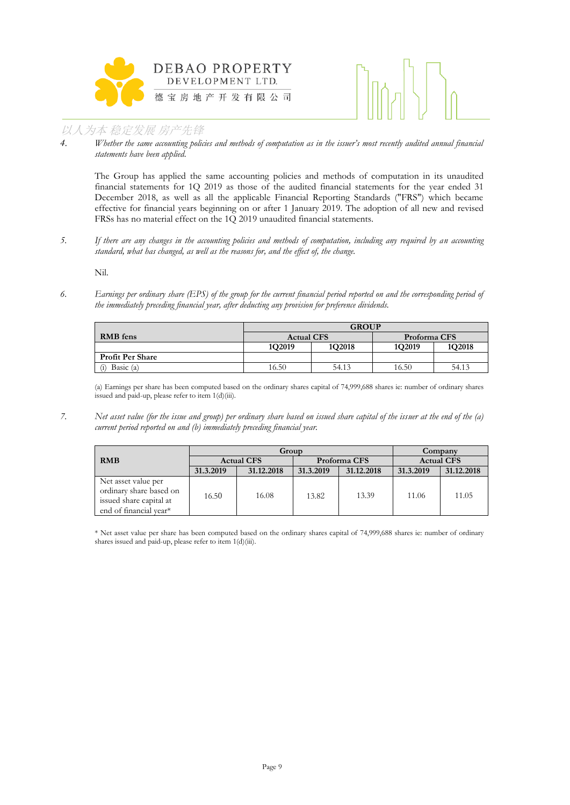



*4. Whether the same accounting policies and methods of computation as in the issuer's most recently audited annual financial statements have been applied.*

The Group has applied the same accounting policies and methods of computation in its unaudited financial statements for 1Q 2019 as those of the audited financial statements for the year ended 31 December 2018, as well as all the applicable Financial Reporting Standards ("FRS") which became effective for financial years beginning on or after 1 January 2019. The adoption of all new and revised FRSs has no material effect on the 1Q 2019 unaudited financial statements.

*5. If there are any changes in the accounting policies and methods of computation, including any required by an accounting standard, what has changed, as well as the reasons for, and the effect of, the change.*

Nil.

*6. Earnings per ordinary share (EPS) of the group for the current financial period reported on and the corresponding period of the immediately preceding financial year, after deducting any provision for preference dividends.*

|                         | <b>GROUP</b>                      |        |        |        |  |  |  |  |
|-------------------------|-----------------------------------|--------|--------|--------|--|--|--|--|
| <b>RMB</b> fens         | <b>Actual CFS</b><br>Proforma CFS |        |        |        |  |  |  |  |
|                         | 1Q2019                            | 1Q2018 | 1Q2019 | 1Q2018 |  |  |  |  |
| <b>Profit Per Share</b> |                                   |        |        |        |  |  |  |  |
| Basic (a)<br>(i)        | 54.13<br>16.50<br>16.50<br>54.13  |        |        |        |  |  |  |  |

(a) Earnings per share has been computed based on the ordinary shares capital of 74,999,688 shares ie: number of ordinary shares issued and paid-up, please refer to item 1(d)(iii).

*7. Net asset value (for the issue and group) per ordinary share based on issued share capital of the issuer at the end of the (a) current period reported on and (b) immediately preceding financial year.*

|                                                                                                     |                   | Group      | Company      |            |                   |            |
|-----------------------------------------------------------------------------------------------------|-------------------|------------|--------------|------------|-------------------|------------|
| <b>RMB</b>                                                                                          | <b>Actual CFS</b> |            | Proforma CFS |            | <b>Actual CFS</b> |            |
|                                                                                                     | 31.3.2019         | 31.12.2018 | 31.3.2019    | 31.12.2018 | 31.3.2019         | 31.12.2018 |
| Net asset value per<br>ordinary share based on<br>issued share capital at<br>end of financial year* | 16.50             | 16.08      | 13.82        | 13.39      | 11.06             | 11.05      |

\* Net asset value per share has been computed based on the ordinary shares capital of 74,999,688 shares ie: number of ordinary shares issued and paid-up, please refer to item 1(d)(iii).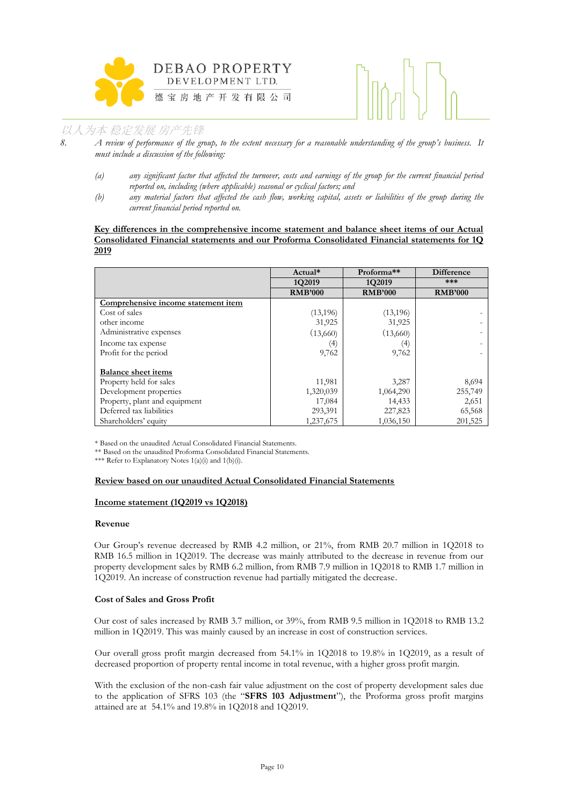



*8. A review of performance of the group, to the extent necessary for a reasonable understanding of the group's business. It must include a discussion of the following:*

- *(a) any significant factor that affected the turnover, costs and earnings of the group for the current financial period reported on, including (where applicable) seasonal or cyclical factors; and*
- *(b) any material factors that affected the cash flow, working capital, assets or liabilities of the group during the current financial period reported on.*

#### **Key differences in the comprehensive income statement and balance sheet items of our Actual Consolidated Financial statements and our Proforma Consolidated Financial statements for 1Q 2019**

|                                     | Actual*        | Proforma <sup>**</sup> | <b>Difference</b> |
|-------------------------------------|----------------|------------------------|-------------------|
|                                     | 1Q2019         | 1Q2019                 | ***               |
|                                     | <b>RMB'000</b> | <b>RMB'000</b>         | <b>RMB'000</b>    |
| Comprehensive income statement item |                |                        |                   |
| Cost of sales                       | (13, 196)      | (13, 196)              |                   |
| other income                        | 31,925         | 31,925                 |                   |
| Administrative expenses             | (13,660)       | (13,660)               |                   |
| Income tax expense                  | (4)            | $\left(4\right)$       |                   |
| Profit for the period               | 9,762          | 9,762                  |                   |
| <b>Balance sheet items</b>          |                |                        |                   |
| Property held for sales             | 11,981         | 3,287                  | 8,694             |
| Development properties              | 1,320,039      | 1,064,290              | 255,749           |
| Property, plant and equipment       | 17,084         | 14,433                 | 2,651             |
| Deferred tax liabilities            | 293,391        | 227,823                | 65,568            |
| Shareholders' equity                | 1,237,675      | 1,036,150              | 201,525           |

\* Based on the unaudited Actual Consolidated Financial Statements.

\*\* Based on the unaudited Proforma Consolidated Financial Statements.

\*\*\* Refer to Explanatory Notes  $1(a)(i)$  and  $1(b)(i)$ .

#### **Review based on our unaudited Actual Consolidated Financial Statements**

#### **Income statement (1Q2019 vs 1Q2018)**

#### **Revenue**

Our Group's revenue decreased by RMB 4.2 million, or 21%, from RMB 20.7 million in 1Q2018 to RMB 16.5 million in 1Q2019. The decrease was mainly attributed to the decrease in revenue from our property development sales by RMB 6.2 million, from RMB 7.9 million in 1Q2018 to RMB 1.7 million in 1Q2019. An increase of construction revenue had partially mitigated the decrease.

#### **Cost of Sales and Gross Profit**

Our cost of sales increased by RMB 3.7 million, or 39%, from RMB 9.5 million in 1Q2018 to RMB 13.2 million in 1Q2019. This was mainly caused by an increase in cost of construction services.

Our overall gross profit margin decreased from 54.1% in 1Q2018 to 19.8% in 1Q2019, as a result of decreased proportion of property rental income in total revenue, with a higher gross profit margin.

With the exclusion of the non-cash fair value adjustment on the cost of property development sales due to the application of SFRS 103 (the "**SFRS 103 Adjustment**"), the Proforma gross profit margins attained are at 54.1% and 19.8% in 1Q2018 and 1Q2019.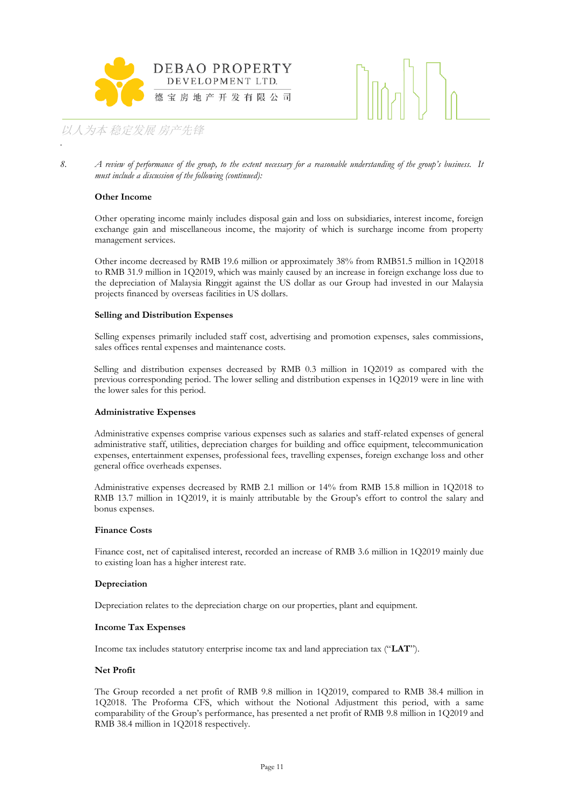



*8. A review of performance of the group, to the extent necessary for a reasonable understanding of the group's business. It must include a discussion of the following (continued):*

#### **Other Income**

*.*

Other operating income mainly includes disposal gain and loss on subsidiaries, interest income, foreign exchange gain and miscellaneous income, the majority of which is surcharge income from property management services.

Other income decreased by RMB 19.6 million or approximately 38% from RMB51.5 million in 1Q2018 to RMB 31.9 million in 1Q2019, which was mainly caused by an increase in foreign exchange loss due to the depreciation of Malaysia Ringgit against the US dollar as our Group had invested in our Malaysia projects financed by overseas facilities in US dollars.

#### **Selling and Distribution Expenses**

Selling expenses primarily included staff cost, advertising and promotion expenses, sales commissions, sales offices rental expenses and maintenance costs.

Selling and distribution expenses decreased by RMB 0.3 million in 1Q2019 as compared with the previous corresponding period. The lower selling and distribution expenses in 1Q2019 were in line with the lower sales for this period.

#### **Administrative Expenses**

Administrative expenses comprise various expenses such as salaries and staff-related expenses of general administrative staff, utilities, depreciation charges for building and office equipment, telecommunication expenses, entertainment expenses, professional fees, travelling expenses, foreign exchange loss and other general office overheads expenses.

Administrative expenses decreased by RMB 2.1 million or 14% from RMB 15.8 million in 1Q2018 to RMB 13.7 million in 1Q2019, it is mainly attributable by the Group's effort to control the salary and bonus expenses.

#### **Finance Costs**

Finance cost, net of capitalised interest, recorded an increase of RMB 3.6 million in 1Q2019 mainly due to existing loan has a higher interest rate.

#### **Depreciation**

Depreciation relates to the depreciation charge on our properties, plant and equipment.

#### **Income Tax Expenses**

Income tax includes statutory enterprise income tax and land appreciation tax ("**LAT**").

#### **Net Profit**

The Group recorded a net profit of RMB 9.8 million in 1Q2019, compared to RMB 38.4 million in 1Q2018. The Proforma CFS, which without the Notional Adjustment this period, with a same comparability of the Group's performance, has presented a net profit of RMB 9.8 million in 1Q2019 and RMB 38.4 million in 1Q2018 respectively.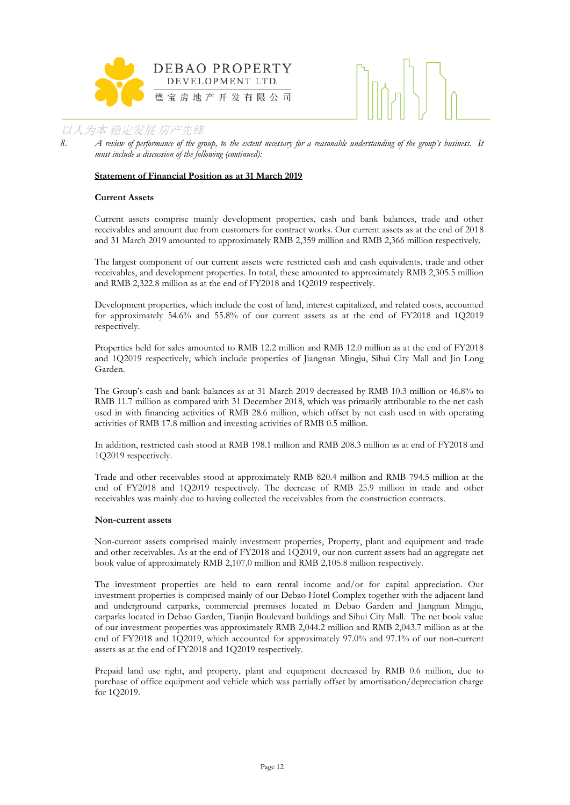



*8. A review of performance of the group, to the extent necessary for a reasonable understanding of the group's business. It must include a discussion of the following (continued):*

#### **Statement of Financial Position as at 31 March 2019**

#### **Current Assets**

Current assets comprise mainly development properties, cash and bank balances, trade and other receivables and amount due from customers for contract works. Our current assets as at the end of 2018 and 31 March 2019 amounted to approximately RMB 2,359 million and RMB 2,366 million respectively.

The largest component of our current assets were restricted cash and cash equivalents, trade and other receivables, and development properties. In total, these amounted to approximately RMB 2,305.5 million and RMB 2,322.8 million as at the end of FY2018 and 1Q2019 respectively.

Development properties, which include the cost of land, interest capitalized, and related costs, accounted for approximately 54.6% and 55.8% of our current assets as at the end of FY2018 and 1Q2019 respectively.

Properties held for sales amounted to RMB 12.2 million and RMB 12.0 million as at the end of FY2018 and 1Q2019 respectively, which include properties of Jiangnan Mingju, Sihui City Mall and Jin Long Garden.

The Group's cash and bank balances as at 31 March 2019 decreased by RMB 10.3 million or 46.8% to RMB 11.7 million as compared with 31 December 2018, which was primarily attributable to the net cash used in with financing activities of RMB 28.6 million, which offset by net cash used in with operating activities of RMB 17.8 million and investing activities of RMB 0.5 million.

In addition, restricted cash stood at RMB 198.1 million and RMB 208.3 million as at end of FY2018 and 1Q2019 respectively.

Trade and other receivables stood at approximately RMB 820.4 million and RMB 794.5 million at the end of FY2018 and 1Q2019 respectively. The decrease of RMB 25.9 million in trade and other receivables was mainly due to having collected the receivables from the construction contracts.

#### **Non-current assets**

Non-current assets comprised mainly investment properties, Property, plant and equipment and trade and other receivables. As at the end of FY2018 and 1Q2019, our non-current assets had an aggregate net book value of approximately RMB 2,107.0 million and RMB 2,105.8 million respectively.

The investment properties are held to earn rental income and/or for capital appreciation. Our investment properties is comprised mainly of our Debao Hotel Complex together with the adjacent land and underground carparks, commercial premises located in Debao Garden and Jiangnan Mingju, carparks located in Debao Garden, Tianjin Boulevard buildings and Sihui City Mall. The net book value of our investment properties was approximately RMB 2,044.2 million and RMB 2,043.7 million as at the end of FY2018 and 1Q2019, which accounted for approximately 97.0% and 97.1% of our non-current assets as at the end of FY2018 and 1Q2019 respectively.

Prepaid land use right, and property, plant and equipment decreased by RMB 0.6 million, due to purchase of office equipment and vehicle which was partially offset by amortisation/depreciation charge for 1Q2019.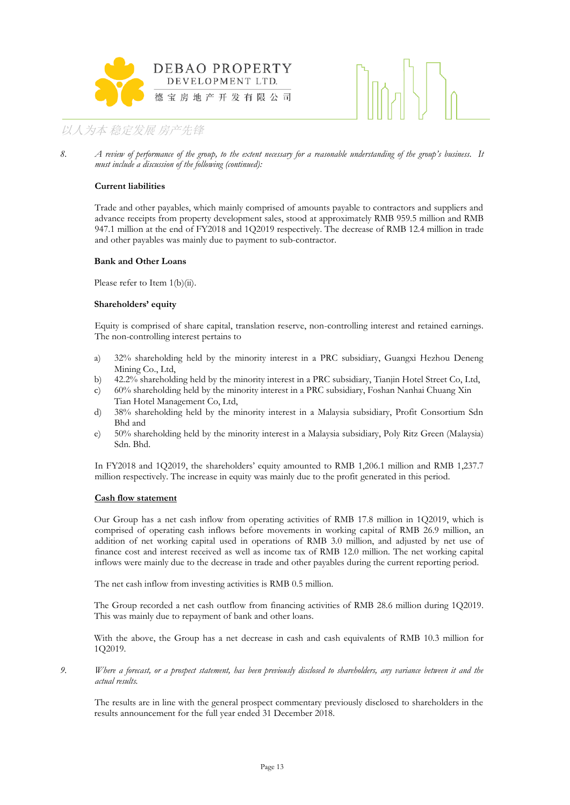



*8. A review of performance of the group, to the extent necessary for a reasonable understanding of the group's business. It must include a discussion of the following (continued):*

#### **Current liabilities**

Trade and other payables, which mainly comprised of amounts payable to contractors and suppliers and advance receipts from property development sales, stood at approximately RMB 959.5 million and RMB 947.1 million at the end of FY2018 and 1Q2019 respectively. The decrease of RMB 12.4 million in trade and other payables was mainly due to payment to sub-contractor.

#### **Bank and Other Loans**

Please refer to Item 1(b)(ii).

#### **Shareholders' equity**

Equity is comprised of share capital, translation reserve, non-controlling interest and retained earnings. The non-controlling interest pertains to

- a) 32% shareholding held by the minority interest in a PRC subsidiary, Guangxi Hezhou Deneng Mining Co., Ltd,
- b) 42.2% shareholding held by the minority interest in a PRC subsidiary, Tianjin Hotel Street Co, Ltd,
- c) 60% shareholding held by the minority interest in a PRC subsidiary, Foshan Nanhai Chuang Xin Tian Hotel Management Co, Ltd,
- d) 38% shareholding held by the minority interest in a Malaysia subsidiary, Profit Consortium Sdn Bhd and
- e) 50% shareholding held by the minority interest in a Malaysia subsidiary, Poly Ritz Green (Malaysia) Sdn. Bhd.

In FY2018 and 1Q2019, the shareholders' equity amounted to RMB 1,206.1 million and RMB 1,237.7 million respectively. The increase in equity was mainly due to the profit generated in this period.

#### **Cash flow statement**

Our Group has a net cash inflow from operating activities of RMB 17.8 million in 1Q2019, which is comprised of operating cash inflows before movements in working capital of RMB 26.9 million, an addition of net working capital used in operations of RMB 3.0 million, and adjusted by net use of finance cost and interest received as well as income tax of RMB 12.0 million. The net working capital inflows were mainly due to the decrease in trade and other payables during the current reporting period.

The net cash inflow from investing activities is RMB 0.5 million.

The Group recorded a net cash outflow from financing activities of RMB 28.6 million during 1Q2019. This was mainly due to repayment of bank and other loans.

With the above, the Group has a net decrease in cash and cash equivalents of RMB 10.3 million for 1Q2019.

*9. Where a forecast, or a prospect statement, has been previously disclosed to shareholders, any variance between it and the actual results.*

The results are in line with the general prospect commentary previously disclosed to shareholders in the results announcement for the full year ended 31 December 2018.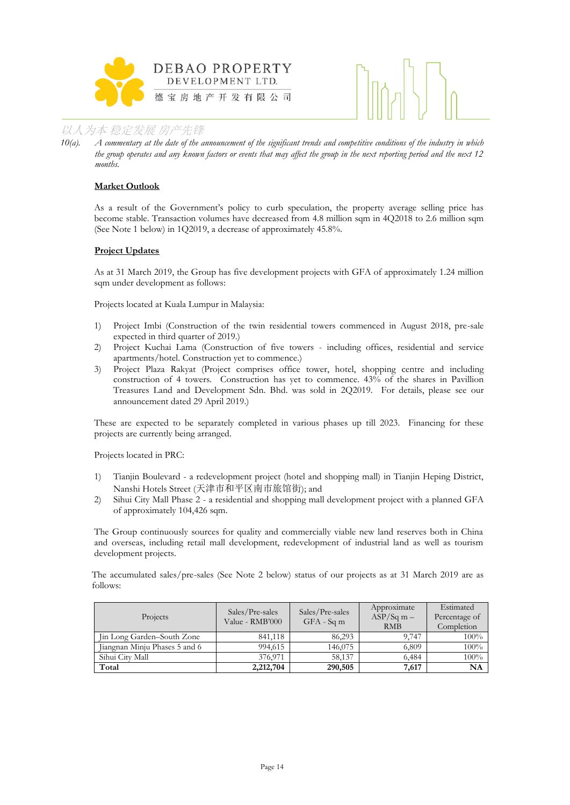



*10(a). A commentary at the date of the announcement of the significant trends and competitive conditions of the industry in which the group operates and any known factors or events that may affect the group in the next reporting period and the next 12 months.*

#### **Market Outlook**

As a result of the Government's policy to curb speculation, the property average selling price has become stable. Transaction volumes have decreased from 4.8 million sqm in 4Q2018 to 2.6 million sqm (See Note 1 below) in 1Q2019, a decrease of approximately 45.8%.

#### **Project Updates**

As at 31 March 2019, the Group has five development projects with GFA of approximately 1.24 million sqm under development as follows:

Projects located at Kuala Lumpur in Malaysia:

- 1) Project Imbi (Construction of the twin residential towers commenced in August 2018, pre-sale expected in third quarter of 2019.)
- 2) Project Kuchai Lama (Construction of five towers including offices, residential and service apartments/hotel. Construction yet to commence.)
- 3) Project Plaza Rakyat (Project comprises office tower, hotel, shopping centre and including construction of 4 towers. Construction has yet to commence. 43% of the shares in Pavillion Treasures Land and Development Sdn. Bhd. was sold in 2Q2019. For details, please see our announcement dated 29 April 2019.)

These are expected to be separately completed in various phases up till 2023. Financing for these projects are currently being arranged.

Projects located in PRC:

- 1) Tianjin Boulevard a redevelopment project (hotel and shopping mall) in Tianjin Heping District, Nanshi Hotels Street (天津市和平区南市旅馆街); and
- 2) Sihui City Mall Phase 2 a residential and shopping mall development project with a planned GFA of approximately 104,426 sqm.

The Group continuously sources for quality and commercially viable new land reserves both in China and overseas, including retail mall development, redevelopment of industrial land as well as tourism development projects.

The accumulated sales/pre-sales (See Note 2 below) status of our projects as at 31 March 2019 are as follows:

| Projects                      | Sales/Pre-sales<br>Value - RMB'000 | Sales/Pre-sales<br>$GFA - Sqm$ | Approximate<br>$ASP/Sq m -$<br><b>RMB</b> | Estimated<br>Percentage of<br>Completion |
|-------------------------------|------------------------------------|--------------------------------|-------------------------------------------|------------------------------------------|
| Jin Long Garden-South Zone    | 841,118                            | 86,293                         | 9.747                                     | 100%                                     |
| Jiangnan Minju Phases 5 and 6 | 994,615                            | 146,075                        | 6.809                                     | 100%                                     |
| Sihui City Mall               | 376,971                            | 58,137                         | 6,484                                     | 100%                                     |
| Total                         | 2,212,704                          | 290,505                        | 7,617                                     | NA                                       |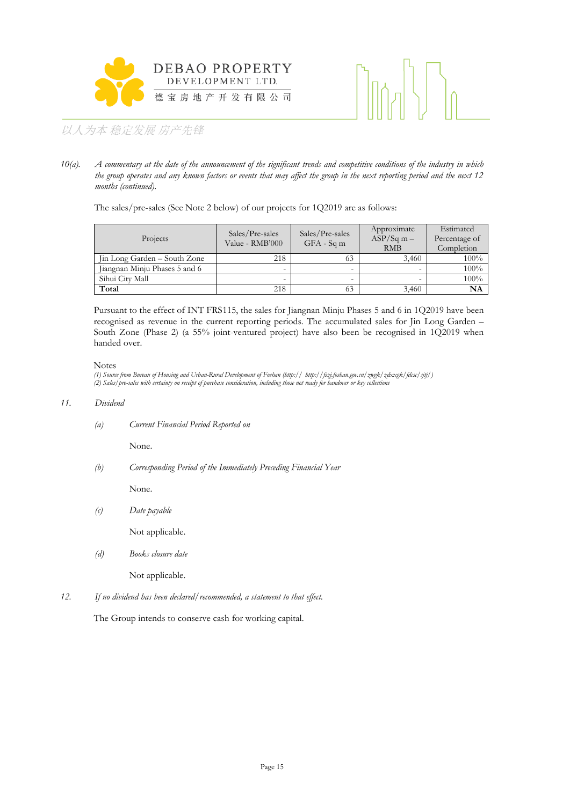



*10(a). A commentary at the date of the announcement of the significant trends and competitive conditions of the industry in which the group operates and any known factors or events that may affect the group in the next reporting period and the next 12 months (continued).*

The sales/pre-sales (See Note 2 below) of our projects for 1Q2019 are as follows:

| Projects                      | Sales/Pre-sales<br>Value - RMB'000 | Sales/Pre-sales<br>$GFA - Sqm$ | Approximate<br>$ASP/Sq$ m –<br><b>RMB</b> | Estimated<br>Percentage of<br>Completion |
|-------------------------------|------------------------------------|--------------------------------|-------------------------------------------|------------------------------------------|
| Jin Long Garden – South Zone  | 218                                | 63                             | 3.460                                     | $100\%$                                  |
| Jiangnan Minju Phases 5 and 6 | -                                  |                                |                                           | 100%                                     |
| Sihui City Mall               | -                                  |                                |                                           | 100%                                     |
| Total                         | 218                                | 63                             | 3,460                                     | NA                                       |

Pursuant to the effect of INT FRS115, the sales for Jiangnan Minju Phases 5 and 6 in 1Q2019 have been recognised as revenue in the current reporting periods. The accumulated sales for Jin Long Garden – South Zone (Phase 2) (a 55% joint-ventured project) have also been be recognised in 1Q2019 when handed over.

Notes

*(1) Source from Bureau of Housing and Urban-Rural Development of Foshan (http:// http://fszj.foshan.gov.cn/zwgk/zdxxgk/fdcsc/sjtj/) (2) Sales/pre-sales with certainty on receipt of purchase consideration, including those not ready for handover or key collections*

#### *11. Dividend*

*(a) Current Financial Period Reported on*

None.

*(b) Corresponding Period of the Immediately Preceding Financial Year*

None.

*(c) Date payable*

Not applicable.

*(d) Books closure date*

Not applicable.

*12. If no dividend has been declared/recommended, a statement to that effect.*

The Group intends to conserve cash for working capital.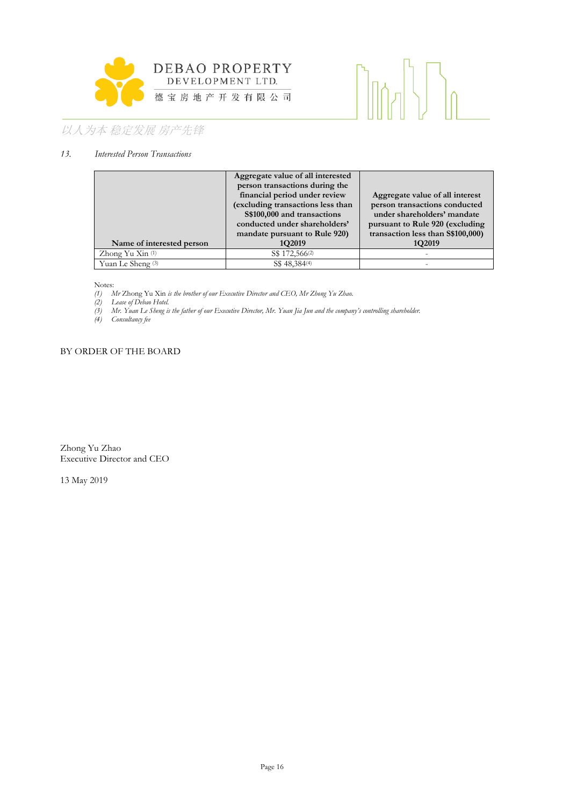

# $\left[\begin{matrix} 1 & 1 \\ 1 & 1 \end{matrix}\right]$

# 以人为本 稳定发展 房产先锋

#### *13. Interested Person Transactions*

|                           | Aggregate value of all interested |                                    |
|---------------------------|-----------------------------------|------------------------------------|
|                           | person transactions during the    |                                    |
|                           | financial period under review     | Aggregate value of all interest    |
|                           | (excluding transactions less than | person transactions conducted      |
|                           | S\$100,000 and transactions       | under shareholders' mandate        |
|                           | conducted under shareholders'     | pursuant to Rule 920 (excluding    |
|                           | mandate pursuant to Rule 920)     | transaction less than \$\$100,000) |
| Name of interested person | 1Q2019                            | 1Q2019                             |
| Zhong Yu Xin (1)          | S\$ 172,566 <sup>(2)</sup>        |                                    |
| Yuan Le Sheng $(3)$       | S\$ 48,384 <sup>(4)</sup>         |                                    |

Notes:

*(1) Mr* Zhong Yu Xin *is the brother of our Executive Director and CEO, Mr Zhong Yu Zhao.*

*(2) Lease of Debao Hotel.*

*(3) Mr. Yuan Le Sheng is the father of our Executive Director, Mr. Yuan Jia Jun and the company's controlling shareholder.*

*(4) Consultancy fee*

### BY ORDER OF THE BOARD

Zhong Yu Zhao Executive Director and CEO

13 May 2019